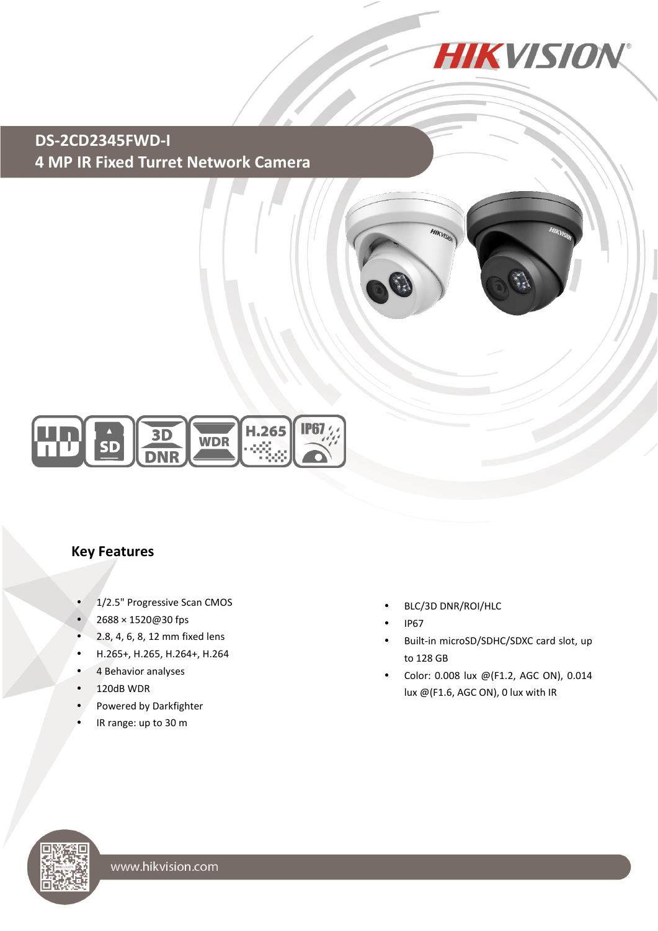

# **DS-2CD2345FWD-I 4 MP IR Fixed Turret Network Camera**





#### **Key Features**

- 1/2.5" Progressive Scan CMOS
- 2688 × 1520@30 fps
- 2.8, 4, 6, 8, 12 mm fixed lens
- H.265+, H.265, H.264+, H.264
- 4 Behavior analyses
- $\cdot$  120dB WDR
- Powered by Darkfighter
- IR range: up to 30 m
- BLC/3D DNR/ROI/HLC
- IP67
- Built-in microSD/SDHC/SDXC card slot, up to 128 GB
- Color: 0.008 lux @(F1.2, AGC ON), 0.014 lux @(F1.6, AGC ON), 0 lux with IR

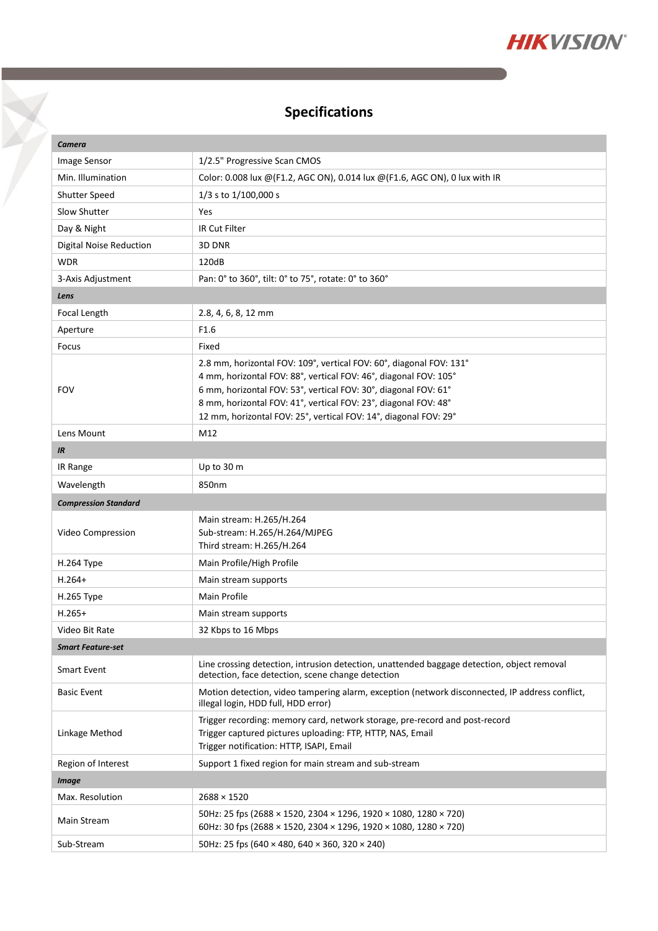

# **Specifications**

 $\triangledown$ 

| Camera                         |                                                                                                                                                                                                                                                                                                                                                   |  |
|--------------------------------|---------------------------------------------------------------------------------------------------------------------------------------------------------------------------------------------------------------------------------------------------------------------------------------------------------------------------------------------------|--|
| Image Sensor                   | 1/2.5" Progressive Scan CMOS                                                                                                                                                                                                                                                                                                                      |  |
| Min. Illumination              | Color: 0.008 lux @(F1.2, AGC ON), 0.014 lux @(F1.6, AGC ON), 0 lux with IR                                                                                                                                                                                                                                                                        |  |
| Shutter Speed                  | 1/3 s to 1/100,000 s                                                                                                                                                                                                                                                                                                                              |  |
| Slow Shutter                   | Yes                                                                                                                                                                                                                                                                                                                                               |  |
| Day & Night                    | IR Cut Filter                                                                                                                                                                                                                                                                                                                                     |  |
| <b>Digital Noise Reduction</b> | 3D DNR                                                                                                                                                                                                                                                                                                                                            |  |
| <b>WDR</b>                     | 120dB                                                                                                                                                                                                                                                                                                                                             |  |
| 3-Axis Adjustment              | Pan: 0° to 360°, tilt: 0° to 75°, rotate: 0° to 360°                                                                                                                                                                                                                                                                                              |  |
| Lens                           |                                                                                                                                                                                                                                                                                                                                                   |  |
| Focal Length                   | 2.8, 4, 6, 8, 12 mm                                                                                                                                                                                                                                                                                                                               |  |
| Aperture                       | F <sub>1.6</sub>                                                                                                                                                                                                                                                                                                                                  |  |
| Focus                          | Fixed                                                                                                                                                                                                                                                                                                                                             |  |
| <b>FOV</b>                     | 2.8 mm, horizontal FOV: 109°, vertical FOV: 60°, diagonal FOV: 131°<br>4 mm, horizontal FOV: 88°, vertical FOV: 46°, diagonal FOV: 105°<br>6 mm, horizontal FOV: 53°, vertical FOV: 30°, diagonal FOV: 61°<br>8 mm, horizontal FOV: 41°, vertical FOV: 23°, diagonal FOV: 48°<br>12 mm, horizontal FOV: 25°, vertical FOV: 14°, diagonal FOV: 29° |  |
| Lens Mount                     | M12                                                                                                                                                                                                                                                                                                                                               |  |
| IR                             |                                                                                                                                                                                                                                                                                                                                                   |  |
| IR Range                       | Up to 30 m                                                                                                                                                                                                                                                                                                                                        |  |
| Wavelength                     | 850nm                                                                                                                                                                                                                                                                                                                                             |  |
| <b>Compression Standard</b>    |                                                                                                                                                                                                                                                                                                                                                   |  |
|                                |                                                                                                                                                                                                                                                                                                                                                   |  |
| Video Compression              | Main stream: H.265/H.264<br>Sub-stream: H.265/H.264/MJPEG<br>Third stream: H.265/H.264                                                                                                                                                                                                                                                            |  |
| H.264 Type                     | Main Profile/High Profile                                                                                                                                                                                                                                                                                                                         |  |
| $H.264+$                       | Main stream supports                                                                                                                                                                                                                                                                                                                              |  |
| H.265 Type                     | Main Profile                                                                                                                                                                                                                                                                                                                                      |  |
| $H.265+$                       | Main stream supports                                                                                                                                                                                                                                                                                                                              |  |
| Video Bit Rate                 | 32 Kbps to 16 Mbps                                                                                                                                                                                                                                                                                                                                |  |
| <b>Smart Feature-set</b>       |                                                                                                                                                                                                                                                                                                                                                   |  |
| <b>Smart Event</b>             | Line crossing detection, intrusion detection, unattended baggage detection, object removal<br>detection, face detection, scene change detection                                                                                                                                                                                                   |  |
| <b>Basic Event</b>             | Motion detection, video tampering alarm, exception (network disconnected, IP address conflict,<br>illegal login, HDD full, HDD error)                                                                                                                                                                                                             |  |
| Linkage Method                 | Trigger recording: memory card, network storage, pre-record and post-record<br>Trigger captured pictures uploading: FTP, HTTP, NAS, Email<br>Trigger notification: HTTP, ISAPI, Email                                                                                                                                                             |  |
| Region of Interest             | Support 1 fixed region for main stream and sub-stream                                                                                                                                                                                                                                                                                             |  |
| <b>Image</b>                   |                                                                                                                                                                                                                                                                                                                                                   |  |
| Max. Resolution                | $2688 \times 1520$                                                                                                                                                                                                                                                                                                                                |  |
| Main Stream                    | 50Hz: 25 fps (2688 × 1520, 2304 × 1296, 1920 × 1080, 1280 × 720)<br>60Hz: 30 fps (2688 × 1520, 2304 × 1296, 1920 × 1080, 1280 × 720)                                                                                                                                                                                                              |  |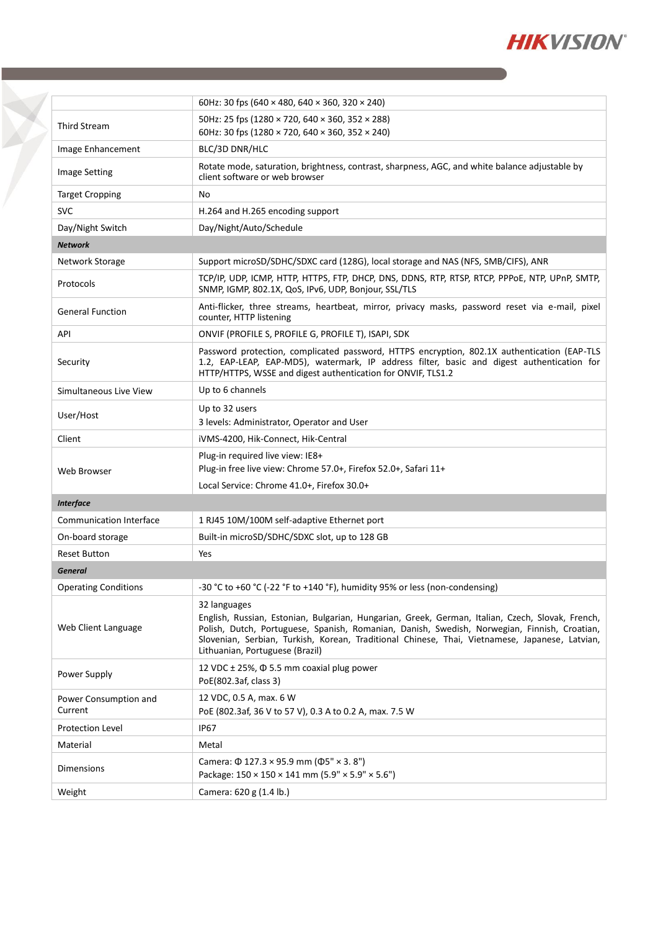

|                                  | 60Hz: 30 fps (640 $\times$ 480, 640 $\times$ 360, 320 $\times$ 240)                                                                                                                                                                                                                                                                                   |  |
|----------------------------------|-------------------------------------------------------------------------------------------------------------------------------------------------------------------------------------------------------------------------------------------------------------------------------------------------------------------------------------------------------|--|
| <b>Third Stream</b>              | 50Hz: 25 fps (1280 × 720, 640 × 360, 352 × 288)<br>60Hz: 30 fps (1280 × 720, 640 × 360, 352 × 240)                                                                                                                                                                                                                                                    |  |
| Image Enhancement                | BLC/3D DNR/HLC                                                                                                                                                                                                                                                                                                                                        |  |
| <b>Image Setting</b>             | Rotate mode, saturation, brightness, contrast, sharpness, AGC, and white balance adjustable by<br>client software or web browser                                                                                                                                                                                                                      |  |
| <b>Target Cropping</b>           | No                                                                                                                                                                                                                                                                                                                                                    |  |
| <b>SVC</b>                       | H.264 and H.265 encoding support                                                                                                                                                                                                                                                                                                                      |  |
| Day/Night Switch                 | Day/Night/Auto/Schedule                                                                                                                                                                                                                                                                                                                               |  |
| <b>Network</b>                   |                                                                                                                                                                                                                                                                                                                                                       |  |
| Network Storage                  | Support microSD/SDHC/SDXC card (128G), local storage and NAS (NFS, SMB/CIFS), ANR                                                                                                                                                                                                                                                                     |  |
| Protocols                        | TCP/IP, UDP, ICMP, HTTP, HTTPS, FTP, DHCP, DNS, DDNS, RTP, RTSP, RTCP, PPPOE, NTP, UPnP, SMTP,<br>SNMP, IGMP, 802.1X, QoS, IPv6, UDP, Bonjour, SSL/TLS                                                                                                                                                                                                |  |
| <b>General Function</b>          | Anti-flicker, three streams, heartbeat, mirror, privacy masks, password reset via e-mail, pixel<br>counter, HTTP listening                                                                                                                                                                                                                            |  |
| API                              | ONVIF (PROFILE S, PROFILE G, PROFILE T), ISAPI, SDK                                                                                                                                                                                                                                                                                                   |  |
| Security                         | Password protection, complicated password, HTTPS encryption, 802.1X authentication (EAP-TLS<br>1.2, EAP-LEAP, EAP-MD5), watermark, IP address filter, basic and digest authentication for<br>HTTP/HTTPS, WSSE and digest authentication for ONVIF, TLS1.2                                                                                             |  |
| Simultaneous Live View           | Up to 6 channels                                                                                                                                                                                                                                                                                                                                      |  |
| User/Host                        | Up to 32 users<br>3 levels: Administrator, Operator and User                                                                                                                                                                                                                                                                                          |  |
| Client                           | iVMS-4200, Hik-Connect, Hik-Central                                                                                                                                                                                                                                                                                                                   |  |
| <b>Web Browser</b>               | Plug-in required live view: IE8+<br>Plug-in free live view: Chrome 57.0+, Firefox 52.0+, Safari 11+<br>Local Service: Chrome 41.0+, Firefox 30.0+                                                                                                                                                                                                     |  |
| <b>Interface</b>                 |                                                                                                                                                                                                                                                                                                                                                       |  |
| Communication Interface          | 1 RJ45 10M/100M self-adaptive Ethernet port                                                                                                                                                                                                                                                                                                           |  |
| On-board storage                 | Built-in microSD/SDHC/SDXC slot, up to 128 GB                                                                                                                                                                                                                                                                                                         |  |
| <b>Reset Button</b>              | Yes                                                                                                                                                                                                                                                                                                                                                   |  |
| General                          |                                                                                                                                                                                                                                                                                                                                                       |  |
| <b>Operating Conditions</b>      | -30 °C to +60 °C (-22 °F to +140 °F), humidity 95% or less (non-condensing)                                                                                                                                                                                                                                                                           |  |
| Web Client Language              | 32 languages<br>English, Russian, Estonian, Bulgarian, Hungarian, Greek, German, Italian, Czech, Slovak, French,<br>Polish, Dutch, Portuguese, Spanish, Romanian, Danish, Swedish, Norwegian, Finnish, Croatian,<br>Slovenian, Serbian, Turkish, Korean, Traditional Chinese, Thai, Vietnamese, Japanese, Latvian,<br>Lithuanian, Portuguese (Brazil) |  |
| Power Supply                     | 12 VDC $\pm$ 25%, $\Phi$ 5.5 mm coaxial plug power<br>PoE(802.3af, class 3)                                                                                                                                                                                                                                                                           |  |
| Power Consumption and<br>Current | 12 VDC, 0.5 A, max. 6 W<br>PoE (802.3af, 36 V to 57 V), 0.3 A to 0.2 A, max. 7.5 W                                                                                                                                                                                                                                                                    |  |
| <b>Protection Level</b>          | <b>IP67</b>                                                                                                                                                                                                                                                                                                                                           |  |
| Material                         | Metal                                                                                                                                                                                                                                                                                                                                                 |  |
| <b>Dimensions</b>                | Camera: $\Phi$ 127.3 × 95.9 mm ( $\Phi$ 5" × 3.8")<br>Package: 150 × 150 × 141 mm (5.9" × 5.9" × 5.6")                                                                                                                                                                                                                                                |  |
| Weight                           | Camera: 620 g (1.4 lb.)                                                                                                                                                                                                                                                                                                                               |  |
|                                  |                                                                                                                                                                                                                                                                                                                                                       |  |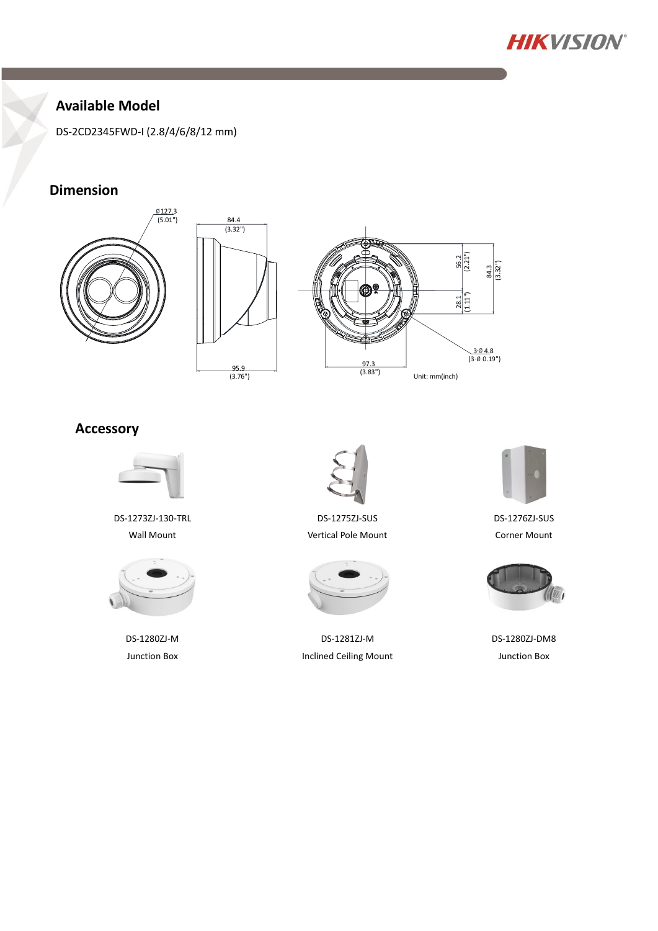

### **Available Model**

DS-2CD2345FWD-I (2.8/4/6/8/12 mm)

### **Dimension**







#### **Accessory**



DS-1273ZJ-130-TRL Wall Mount



DS-1280ZJ-M Junction Box



DS-1275ZJ-SUS Vertical Pole Mount



DS-1281ZJ-M Inclined Ceiling Mount



DS-1276ZJ-SUS Corner Mount



DS-1280ZJ-DM8 Junction Box